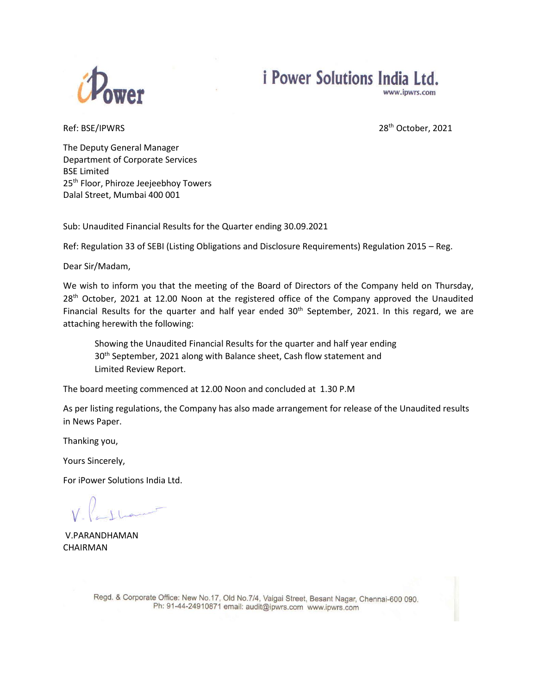

# *i* Power Solutions India Ltd. www.ipwrs.com

Ref: BSE/IPWRS 28th October, 2021

The Deputy General Manager Department of Corporate Services BSE Limited 25<sup>th</sup> Floor, Phiroze Jeejeebhoy Towers Dalal Street, Mumbai 400 001

Sub: Unaudited Financial Results for the Quarter ending 30.09.2021

Ref: Regulation 33 of SEBI (Listing Obligations and Disclosure Requirements) Regulation 2015 – Reg.

Dear Sir/Madam,

We wish to inform you that the meeting of the Board of Directors of the Company held on Thursday, 28<sup>th</sup> October, 2021 at 12.00 Noon at the registered office of the Company approved the Unaudited Financial Results for the quarter and half year ended  $30<sup>th</sup>$  September, 2021. In this regard, we are attaching herewith the following:

Showing the Unaudited Financial Results for the quarter and half year ending 30<sup>th</sup> September, 2021 along with Balance sheet, Cash flow statement and Limited Review Report.

The board meeting commenced at 12.00 Noon and concluded at 1.30 P.M

As per listing regulations, the Company has also made arrangement for release of the Unaudited results in News Paper.

Thanking you,

Yours Sincerely,

For iPower Solutions India Ltd.

V.PARANDHAMAN CHAIRMAN

Regd. & Corporate Office: New No.17, Old No.7/4, Vaigai Street, Besant Nagar, Chennai-600 090. Ph: 91-44-24910871 email: audit@ipwrs.com www.ipwrs.com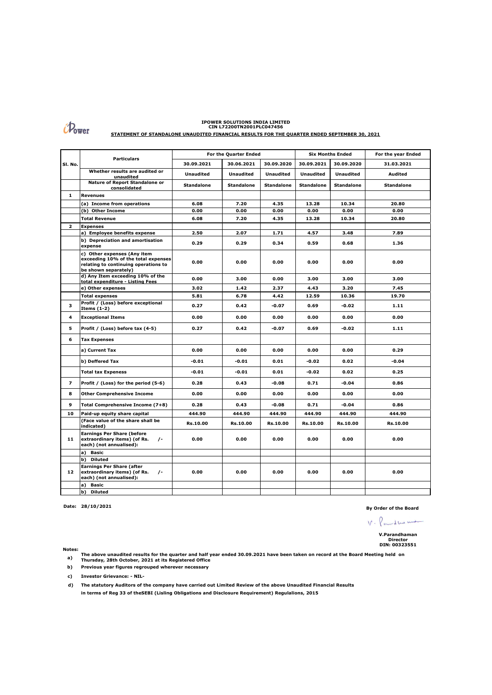

### **IPOWER SOLUTIONS INDIA LIMITED CIN L72200TN2001PLC047456**

**STATEMENT OF STANDALONE UNAUDITED FINANCIAL RESULTS FOR THE QUARTER ENDED SEPTEMBER 30, 2021**

| SI. No.                 | <b>Particulars</b>                                                                                                                 | For the Quarter Ended |                   |                   | <b>Six Months Ended</b> |                   | For the year Ended |
|-------------------------|------------------------------------------------------------------------------------------------------------------------------------|-----------------------|-------------------|-------------------|-------------------------|-------------------|--------------------|
|                         |                                                                                                                                    | 30.09.2021            | 30.06.2021        | 30.09.2020        | 30.09.2021              | 30.09.2020        | 31.03.2021         |
|                         | Whether results are audited or<br>unaudited                                                                                        | <b>Unaudited</b>      | <b>Unaudited</b>  | <b>Unaudited</b>  | <b>Unaudited</b>        | <b>Unaudited</b>  | Audited            |
|                         | Nature of Report Standalone or<br>consolidated                                                                                     | <b>Standalone</b>     | <b>Standalone</b> | <b>Standalone</b> | <b>Standalone</b>       | <b>Standalone</b> | <b>Standalone</b>  |
| $\mathbf{1}$            | Revenues                                                                                                                           |                       |                   |                   |                         |                   |                    |
|                         | (a) Income from operations                                                                                                         | 6.08                  | 7.20              | 4.35              | 13.28                   | 10.34             | 20.80              |
|                         | (b) Other Income                                                                                                                   | 0.00                  | 0.00              | 0.00              | 0.00                    | 0.00              | 0.00               |
|                         | <b>Total Revenue</b>                                                                                                               | 6.08                  | 7.20              | 4.35              | 13.28                   | 10.34             | 20.80              |
| $\overline{\mathbf{z}}$ | <b>Expenses</b>                                                                                                                    |                       |                   |                   |                         |                   |                    |
|                         | a) Employee benefits expense                                                                                                       | 2.50                  | 2.07              | 1.71              | 4.57                    | 3.48              | 7.89               |
|                         | b) Depreciation and amortisation<br>expense                                                                                        | 0.29                  | 0.29              | 0.34              | 0.59                    | 0.68              | 1.36               |
|                         | c) Other expenses (Any item<br>exceeding 10% of the total expenses<br>relating to continuing operations to<br>be shown separately) | 0.00                  | 0.00              | 0.00              | 0.00                    | 0.00              | 0.00               |
|                         | d) Any Item exceeding 10% of the<br>total expenditure - Listing Fees                                                               | 0.00                  | 3.00              | 0.00              | 3.00                    | 3.00              | 3.00               |
|                         | e) Other expenses                                                                                                                  | 3.02                  | 1.42              | 2.37              | 4.43                    | 3.20              | 7.45               |
|                         | <b>Total expenses</b>                                                                                                              | 5.81                  | 6.78              | 4.42              | 12.59                   | 10.36             | 19.70              |
| 3                       | Profit / (Loss) before exceptional<br>Items $(1-2)$                                                                                | 0.27                  | 0.42              | -0.07             | 0.69                    | -0.02             | 1.11               |
| 4                       | <b>Exceptional Items</b>                                                                                                           | 0.00                  | 0.00              | 0.00              | 0.00                    | 0.00              | 0.00               |
| 5                       | Profit / (Loss) before tax (4-5)                                                                                                   | 0.27                  | 0.42              | $-0.07$           | 0.69                    | -0.02             | 1.11               |
| 6                       | <b>Tax Expenses</b>                                                                                                                |                       |                   |                   |                         |                   |                    |
|                         | a) Current Tax                                                                                                                     | 0.00                  | 0.00              | 0.00              | 0.00                    | 0.00              | 0.29               |
|                         | b) Deffered Tax                                                                                                                    | $-0.01$               | -0.01             | 0.01              | -0.02                   | 0.02              | $-0.04$            |
|                         | <b>Total tax Expeness</b>                                                                                                          | $-0.01$               | -0.01             | 0.01              | -0.02                   | 0.02              | 0.25               |
| $\overline{ }$          | Profit / (Loss) for the period (5-6)                                                                                               | 0.28                  | 0.43              | $-0.08$           | 0.71                    | $-0.04$           | 0.86               |
| 8                       | <b>Other Comprehensive Income</b>                                                                                                  | 0.00                  | 0.00              | 0.00              | 0.00                    | 0.00              | 0.00               |
| 9                       | Total Comprehensive Income (7+8)                                                                                                   | 0.28                  | 0.43              | $-0.08$           | 0.71                    | $-0.04$           | 0.86               |
| 10                      | Paid-up equity share capital                                                                                                       | 444.90                | 444.90            | 444.90            | 444.90                  | 444.90            | 444.90             |
|                         | (Face value of the share shall be<br>indicated)                                                                                    | Rs.10.00              | Rs.10.00          | Rs.10.00          | Rs.10.00                | Rs.10.00          | Rs.10.00           |
| 11                      | <b>Earnings Per Share (before</b><br>$\sqrt{-}$<br>extraordinary items) (of Rs.<br>each) (not annualised):                         | 0.00                  | 0.00              | 0.00              | 0.00                    | 0.00              | 0.00               |
|                         | a) Basic                                                                                                                           |                       |                   |                   |                         |                   |                    |
|                         | b) Diluted                                                                                                                         |                       |                   |                   |                         |                   |                    |
| 12                      | <b>Earnings Per Share (after</b><br>extraordinary items) (of Rs.<br>$\sqrt{-}$<br>each) (not annualised):                          | 0.00                  | 0.00              | 0.00              | 0.00                    | 0.00              | 0.00               |
|                         | a)<br>Basic                                                                                                                        |                       |                   |                   |                         |                   |                    |
|                         | b)<br><b>Diluted</b>                                                                                                               |                       |                   |                   |                         |                   |                    |

**Date: 28/10/2021 By Order of the Board**

 $V \cdot \rho_{\text{a} \dots \text{d} \text{b} \text{a} \text{b} \dots \text{b}}$ **V.Parandhaman Director DIN: 00323551**

**Notes:**

**a) The above unaudited results for the quarter and half year ended 30.09.2021 have been taken on record at the Board Meeting held on Thursday, 28th October, 2021 at its Registered Office**

 **b) Previous year figures regrouped wherever necessary** 

**c) Investor Grievance: - NIL-**

**d) The statutory Auditors of the company have carried out Limited Review of the above Unaudited Financial Results in terms of Reg 33 of theSEBI (Lisling Obligations and Disclosure Requirement) Regulalions, 2015**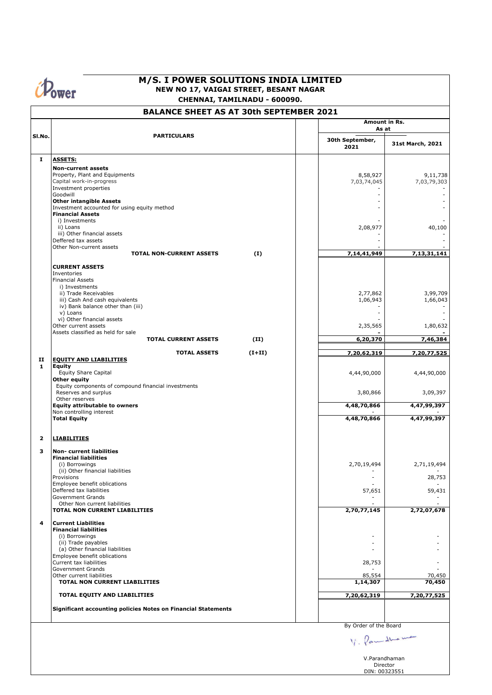**Ower** 

## **M/S. I POWER SOLUTIONS INDIA LIMITED NEW NO 17, VAIGAI STREET, BESANT NAGAR CHENNAI, TAMILNADU - 600090.**

# **BALANCE SHEET AS AT 30th SEPTEMBER 2021**

|                   |                                                                   |                         | Amount in Rs.<br>As at     |                                                             |  |
|-------------------|-------------------------------------------------------------------|-------------------------|----------------------------|-------------------------------------------------------------|--|
| SI.No.            | <b>PARTICULARS</b>                                                | 30th September,<br>2021 | 31st March, 2021           |                                                             |  |
| I.                | <b>ASSETS:</b>                                                    |                         |                            |                                                             |  |
|                   | <b>Non-current assets</b>                                         |                         |                            |                                                             |  |
|                   | Property, Plant and Equipments                                    |                         | 8,58,927                   | 9,11,738                                                    |  |
|                   | Capital work-in-progress<br>Investment properties                 |                         | 7,03,74,045                | 7,03,79,303                                                 |  |
|                   | Goodwill                                                          |                         | $\blacksquare$             |                                                             |  |
|                   | <b>Other intangible Assets</b>                                    |                         |                            |                                                             |  |
|                   | Investment accounted for using equity method                      |                         |                            |                                                             |  |
|                   | <b>Financial Assets</b><br>i) Investments                         |                         |                            |                                                             |  |
|                   | ii) Loans                                                         |                         | 2,08,977                   | 40,100                                                      |  |
|                   | iii) Other financial assets                                       |                         |                            |                                                             |  |
|                   | Deffered tax assets                                               |                         |                            |                                                             |  |
|                   | Other Non-current assets<br><b>TOTAL NON-CURRENT ASSETS</b>       | (I)                     | 7,14,41,949                | 7,13,31,141                                                 |  |
|                   |                                                                   |                         |                            |                                                             |  |
|                   | <b>CURRENT ASSETS</b><br>Inventories                              |                         |                            |                                                             |  |
|                   | <b>Financial Assets</b>                                           |                         |                            |                                                             |  |
|                   | i) Investments                                                    |                         |                            |                                                             |  |
|                   | ii) Trade Receivables                                             |                         | 2,77,862                   | 3,99,709                                                    |  |
|                   | iii) Cash And cash equivalents                                    |                         | 1,06,943<br>$\blacksquare$ | 1,66,043                                                    |  |
|                   | iv) Bank balance other than (iii)<br>v) Loans                     |                         | $\overline{a}$             |                                                             |  |
|                   | vi) Other financial assets                                        |                         |                            |                                                             |  |
|                   | Other current assets                                              |                         | 2,35,565                   | 1,80,632                                                    |  |
|                   | Assets classified as held for sale<br><b>TOTAL CURRENT ASSETS</b> | (II)                    | 6,20,370                   | 7,46,384                                                    |  |
|                   |                                                                   |                         |                            |                                                             |  |
|                   | <b>TOTAL ASSETS</b>                                               | $(I+II)$                | 7,20,62,319                | 7,20,77,525                                                 |  |
| п<br>$\mathbf{1}$ | <b>EQUITY AND LIABILITIES</b><br><b>Equity</b>                    |                         |                            |                                                             |  |
|                   | <b>Equity Share Capital</b>                                       |                         | 4,44,90,000                | 4,44,90,000                                                 |  |
|                   | Other equity                                                      |                         |                            |                                                             |  |
|                   | Equity components of compound financial investments               |                         |                            |                                                             |  |
|                   | Reserves and surplus<br>Other reserves                            |                         | 3,80,866                   | 3,09,397                                                    |  |
|                   | <b>Equity attributable to owners</b>                              |                         | 4,48,70,866                | 4,47,99,397                                                 |  |
|                   | Non controlling interest                                          |                         |                            |                                                             |  |
|                   | <b>Total Equity</b>                                               |                         | 4,48,70,866                | 4,47,99,397                                                 |  |
|                   |                                                                   |                         |                            |                                                             |  |
| $\overline{2}$    | <b>LIABILITIES</b>                                                |                         |                            |                                                             |  |
| 3                 | <b>Non- current liabilities</b>                                   |                         |                            |                                                             |  |
|                   | <b>Financial liabilities</b>                                      |                         |                            |                                                             |  |
|                   | (i) Borrowings<br>(ii) Other financial liabilities                |                         | 2,70,19,494                | 2,71,19,494                                                 |  |
|                   | Provisions                                                        |                         |                            | 28,753                                                      |  |
|                   | Employee benefit oblications                                      |                         |                            |                                                             |  |
|                   | Deffered tax liabilities                                          |                         | 57,651                     | 59,431                                                      |  |
|                   | <b>Government Grands</b><br>Other Non current liabilities         |                         |                            |                                                             |  |
|                   | TOTAL NON CURRENT LIABILITIES                                     |                         | 2,70,77,145                | 2,72,07,678                                                 |  |
|                   |                                                                   |                         |                            |                                                             |  |
| 4                 | <b>Current Liabilities</b>                                        |                         |                            |                                                             |  |
|                   | <b>Financial liabilities</b><br>(i) Borrowings                    |                         |                            |                                                             |  |
|                   | (ii) Trade payables                                               |                         |                            |                                                             |  |
|                   | (a) Other financial liabilities                                   |                         |                            |                                                             |  |
|                   | Employee benefit oblications                                      |                         |                            |                                                             |  |
|                   | Current tax liabilities<br>Government Grands                      |                         | 28,753                     |                                                             |  |
|                   | Other current liabilities                                         |                         | 85,554                     | 70,450                                                      |  |
|                   | TOTAL NON CURRENT LIABILITIES                                     |                         | 1,14,307                   | 70,450                                                      |  |
|                   | TOTAL EQUITY AND LIABILITIES                                      |                         | 7,20,62,319                | 7,20,77,525                                                 |  |
|                   |                                                                   |                         |                            |                                                             |  |
|                   | Significant accounting policies Notes on Financial Statements     |                         |                            |                                                             |  |
|                   |                                                                   |                         | By Order of the Board      |                                                             |  |
|                   |                                                                   |                         |                            |                                                             |  |
|                   |                                                                   |                         |                            |                                                             |  |
|                   |                                                                   |                         |                            | V. Pamallaume<br>V.Parandhaman<br>Director<br>DIN: 00323551 |  |
|                   |                                                                   |                         |                            |                                                             |  |
|                   |                                                                   |                         |                            |                                                             |  |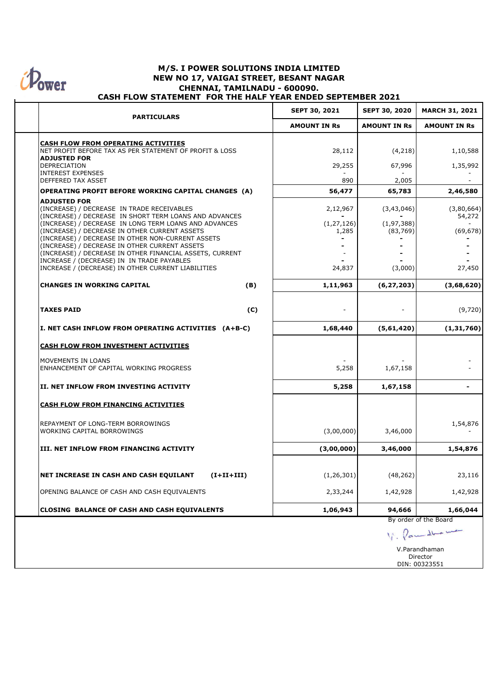

### **M/S. I POWER SOLUTIONS INDIA LIMITED NEW NO 17, VAIGAI STREET, BESANT NAGAR CHENNAI, TAMILNADU - 600090. CASH FLOW STATEMENT FOR THE HALF YEAR ENDED SEPTEMBER 2021**

| <b>PARTICULARS</b>                                                                                              |              | <b>SEPT 30, 2021</b> | <b>SEPT 30, 2020</b>      | <b>MARCH 31, 2021</b> |
|-----------------------------------------------------------------------------------------------------------------|--------------|----------------------|---------------------------|-----------------------|
|                                                                                                                 |              | <b>AMOUNT IN Rs</b>  | <b>AMOUNT IN Rs</b>       | <b>AMOUNT IN Rs</b>   |
| CASH FLOW FROM OPERATING ACTIVITIES                                                                             |              |                      |                           |                       |
| NET PROFIT BEFORE TAX AS PER STATEMENT OF PROFIT & LOSS                                                         |              | 28,112               | (4,218)                   | 1,10,588              |
| <b>ADJUSTED FOR</b><br>DEPRECIATION                                                                             |              | 29,255               | 67,996                    | 1,35,992              |
| <b>INTEREST EXPENSES</b><br>DEFFERED TAX ASSET                                                                  |              | 890                  | 2,005                     |                       |
| <b>OPERATING PROFIT BEFORE WORKING CAPITAL CHANGES (A)</b>                                                      |              | 56,477               | 65,783                    | 2,46,580              |
| <b>ADJUSTED FOR</b><br>(INCREASE) / DECREASE IN TRADE RECEIVABLES                                               |              | 2,12,967             | (3,43,046)                | (3,80,664)            |
| (INCREASE) / DECREASE IN SHORT TERM LOANS AND ADVANCES<br>(INCREASE) / DECREASE IN LONG TERM LOANS AND ADVANCES |              | (1, 27, 126)         | (1, 97, 388)              | 54,272                |
| (INCREASE) / DECREASE IN OTHER CURRENT ASSETS                                                                   |              | 1,285                | (83, 769)                 | (69, 678)             |
| (INCREASE) / DECREASE IN OTHER NON-CURRENT ASSETS<br>(INCREASE) / DECREASE IN OTHER CURRENT ASSETS              |              |                      |                           |                       |
| (INCREASE) / DECREASE IN OTHER FINANCIAL ASSETS, CURRENT                                                        |              |                      |                           |                       |
| INCREASE / (DECREASE) IN IN TRADE PAYABLES<br>INCREASE / (DECREASE) IN OTHER CURRENT LIABILITIES                |              | 24,837               | (3,000)                   | 27,450                |
| <b>CHANGES IN WORKING CAPITAL</b>                                                                               | (B)          | 1,11,963             | (6, 27, 203)              | (3,68,620)            |
|                                                                                                                 |              |                      |                           |                       |
| <b>TAXES PAID</b>                                                                                               | (C)          |                      |                           | (9,720)               |
| I. NET CASH INFLOW FROM OPERATING ACTIVITIES (A+B-C)                                                            |              | 1,68,440             | (5,61,420)                | (1,31,760)            |
| CASH FLOW FROM INVESTMENT ACTIVITIES                                                                            |              |                      |                           |                       |
| MOVEMENTS IN LOANS                                                                                              |              |                      |                           |                       |
| ENHANCEMENT OF CAPITAL WORKING PROGRESS                                                                         |              | 5,258                | 1,67,158                  |                       |
| II. NET INFLOW FROM INVESTING ACTIVITY                                                                          |              | 5,258                | 1,67,158                  | -                     |
| <b>CASH FLOW FROM FINANCING ACTIVITIES</b>                                                                      |              |                      |                           |                       |
| REPAYMENT OF LONG-TERM BORROWINGS                                                                               |              |                      |                           |                       |
| WORKING CAPITAL BORROWINGS                                                                                      |              | (3,00,000)           | 3,46,000                  | 1,54,876              |
| III. NET INFLOW FROM FINANCING ACTIVITY                                                                         |              | (3,00,000)           | 3,46,000                  | 1,54,876              |
|                                                                                                                 |              |                      |                           |                       |
| NET INCREASE IN CASH AND CASH EQUILANT                                                                          | $(I+II+III)$ | (1, 26, 301)         | (48, 262)                 | 23,116                |
| OPENING BALANCE OF CASH AND CASH EQUIVALENTS                                                                    |              | 2,33,244             | 1,42,928                  | 1,42,928              |
| <b>CLOSING BALANCE OF CASH AND CASH EQUIVALENTS</b>                                                             |              | 1,06,943             | 94,666                    | 1,66,044              |
|                                                                                                                 |              |                      |                           | By order of the Board |
|                                                                                                                 |              |                      |                           | lam dha me            |
|                                                                                                                 |              |                      |                           | V.Parandhaman         |
|                                                                                                                 |              |                      | Director<br>DIN: 00323551 |                       |